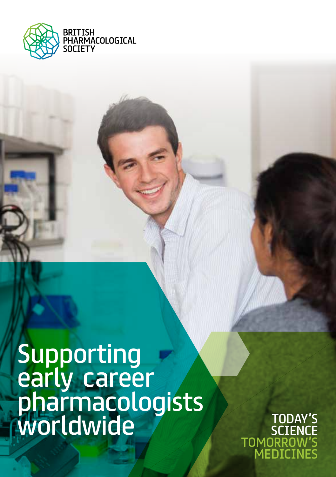

Supporting early career pharmacologists Worldwide TODAY'S

TODAY'S<br>SCIENCE TOMORROW'S MEDICINES